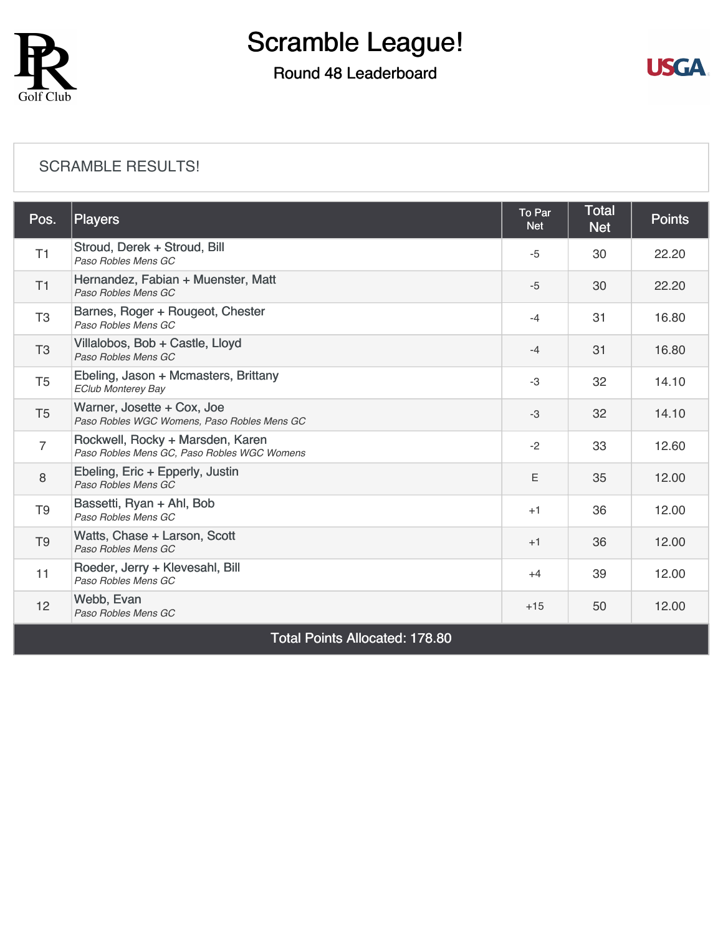

### Round 48 Leaderboard



#### [SCRAMBLE RESULTS!](https://cdn2.golfgenius.com/v2tournaments/8245512883803307693?called_from=&round_index=48)

| Pos.                                  | <b>Players</b>                                                                  | To Par<br><b>Net</b> | <b>Total</b><br><b>Net</b> | <b>Points</b> |  |
|---------------------------------------|---------------------------------------------------------------------------------|----------------------|----------------------------|---------------|--|
| T1                                    | Stroud, Derek + Stroud, Bill<br>Paso Robles Mens GC                             | $-5$                 | 30                         | 22.20         |  |
| T1                                    | Hernandez, Fabian + Muenster, Matt<br>Paso Robles Mens GC                       | $-5$                 | 30                         | 22.20         |  |
| T <sub>3</sub>                        | Barnes, Roger + Rougeot, Chester<br>Paso Robles Mens GC                         | $-4$                 | 31                         | 16.80         |  |
| T <sub>3</sub>                        | Villalobos, Bob + Castle, Lloyd<br>Paso Robles Mens GC                          | $-4$                 | 31                         | 16.80         |  |
| T <sub>5</sub>                        | Ebeling, Jason + Mcmasters, Brittany<br><b>EClub Monterey Bay</b>               | $-3$                 | 32                         | 14.10         |  |
| T <sub>5</sub>                        | Warner, Josette + Cox, Joe<br>Paso Robles WGC Womens, Paso Robles Mens GC       | $-3$                 | 32                         | 14.10         |  |
| 7                                     | Rockwell, Rocky + Marsden, Karen<br>Paso Robles Mens GC, Paso Robles WGC Womens | $-2$                 | 33                         | 12.60         |  |
| 8                                     | Ebeling, Eric + Epperly, Justin<br>Paso Robles Mens GC                          | E                    | 35                         | 12.00         |  |
| T <sub>9</sub>                        | Bassetti, Ryan + Ahl, Bob<br>Paso Robles Mens GC                                | $+1$                 | 36                         | 12.00         |  |
| T <sub>9</sub>                        | Watts, Chase + Larson, Scott<br>Paso Robles Mens GC                             | $+1$                 | 36                         | 12.00         |  |
| 11                                    | Roeder, Jerry + Klevesahl, Bill<br>Paso Robles Mens GC                          | $+4$                 | 39                         | 12.00         |  |
| 12                                    | Webb, Evan<br>Paso Robles Mens GC                                               | $+15$                | 50                         | 12.00         |  |
| <b>Total Points Allocated: 178.80</b> |                                                                                 |                      |                            |               |  |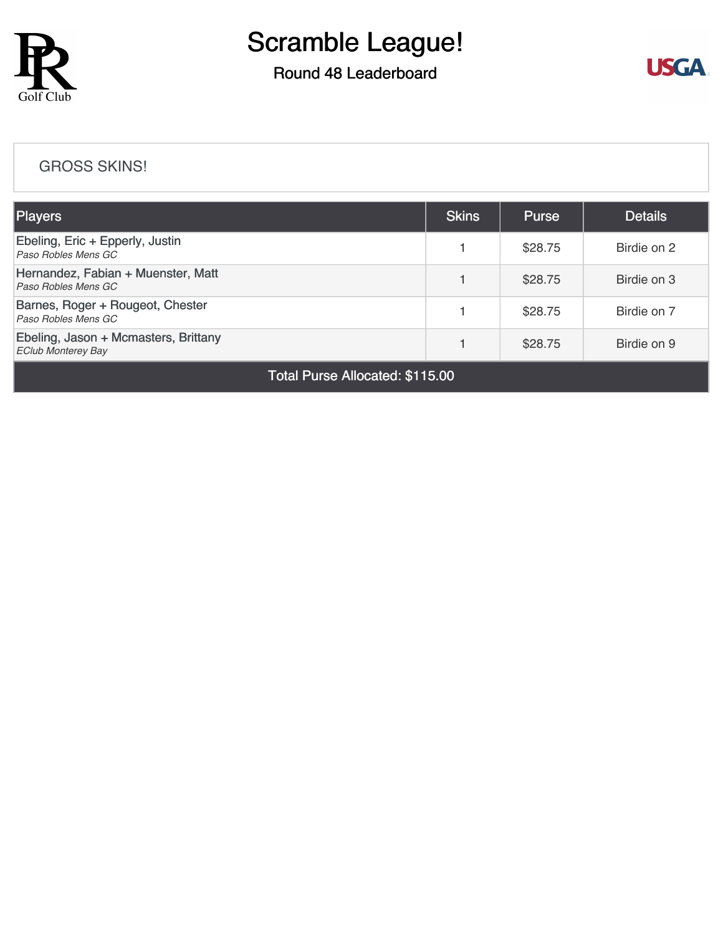

## Round 48 Leaderboard



#### [GROSS SKINS!](https://cdn2.golfgenius.com/v2tournaments/8245514208968490670?called_from=&round_index=48)

| <b>Players</b>                                                    | <b>Skins</b> | <b>Purse</b> | <b>Details</b> |
|-------------------------------------------------------------------|--------------|--------------|----------------|
| Ebeling, Eric + Epperly, Justin<br>Paso Robles Mens GC            |              | \$28.75      | Birdie on 2    |
| Hernandez, Fabian + Muenster, Matt<br>Paso Robles Mens GC         |              | \$28.75      | Birdie on 3    |
| Barnes, Roger + Rougeot, Chester<br>Paso Robles Mens GC           |              | \$28.75      | Birdie on 7    |
| Ebeling, Jason + Mcmasters, Brittany<br><b>EClub Monterey Bay</b> |              | \$28.75      | Birdie on 9    |

Total Purse Allocated: \$115.00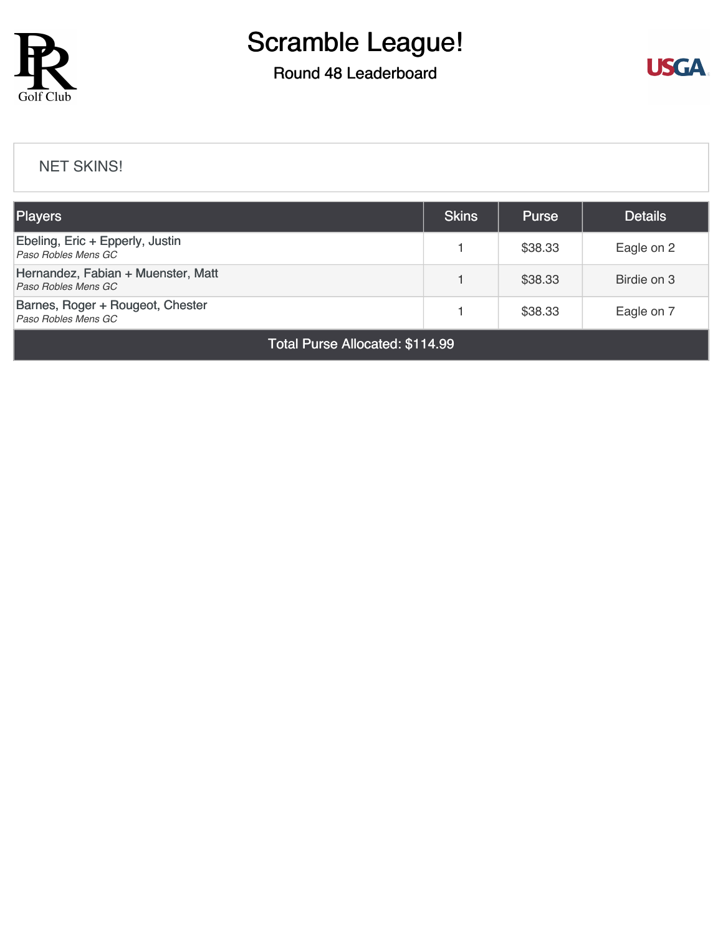

### Round 48 Leaderboard



#### [NET SKINS!](https://cdn2.golfgenius.com/v2tournaments/8245515274153934511?called_from=&round_index=48)

| <b>Players</b>                                            |  | <b>Purse</b> | <b>Details</b> |  |  |
|-----------------------------------------------------------|--|--------------|----------------|--|--|
| Ebeling, Eric + Epperly, Justin<br>Paso Robles Mens GC    |  | \$38.33      | Eagle on 2     |  |  |
| Hernandez, Fabian + Muenster, Matt<br>Paso Robles Mens GC |  | \$38.33      | Birdie on 3    |  |  |
| Barnes, Roger + Rougeot, Chester<br>Paso Robles Mens GC   |  | \$38.33      | Eagle on 7     |  |  |
| Total Purse Allocated: \$114.99                           |  |              |                |  |  |